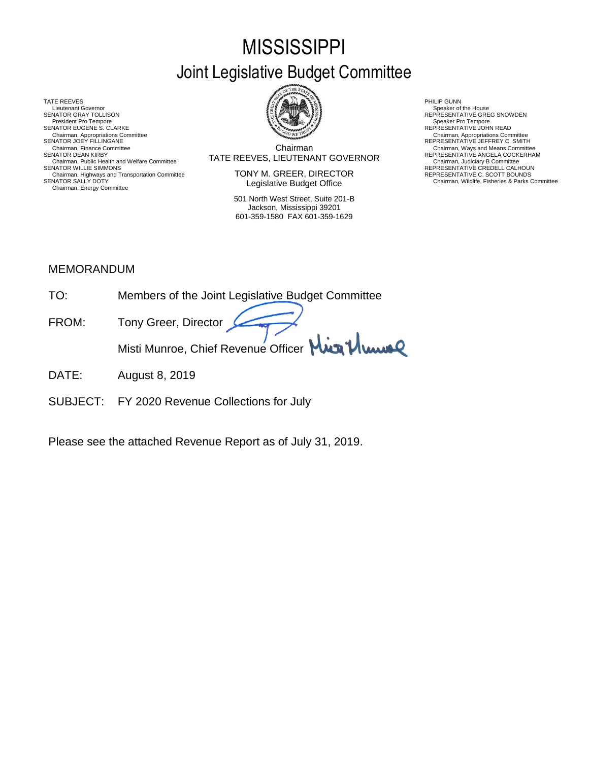# **MISSISSIPPI** Joint Legislative Budget Committee

TATE REEVES THE REDUCT THE REEVES AND RELATED AS A RELATED MALL OF LATER REEVES AND RELATED AT A RELATED MALL OF LATER SUMMARY AND RELATED AT A RELATED AND RELATED AT A RELATED MALL OF LATER SUMMARY AND RELATED AT A RELAT Lieutenant Governor<br>SENATOR GRAY TOLLISON President Pro Tempore SENATOR EUGENE S. CLARKE<br>Chairman, Appropriations Committee<br>SENATOR JOEY FILLINGANE Chairman, Appropriations Committee Chairman, Appropriations Committee<br>SENATOR JOEY FILLINGANE REPRESENTATIVE JEFFREY C. SMITH Chairman, Public Health and Welfare Committee **SENATOR MUST AT A LIGENTY CONTINUM CONTINUM**<br>SENATOR WILLIE SIMMONS **REPRESENTATIVE CREDELL CALHOUN**<br>Chairman, Highways and Transportation Committee **SENATOR** CREDELL CALHOUN Chairman, Highways and Transportation Committee REPRESENTATIVE C. SCOTT BOUNDS SENATOR SALLY DOTY Chairman, Wildlife, Fisheries & Parks Committee Chairman, Energy Committee



Chairman SENATOR DEAN KIRBY (SENATOR DEAN KIRBY) TATE REEVES, LIEUTENANT GOVERNOR REPRESENTATIVE ANGELA COCKERHAM<br>Chairman, Judiciary B Committee Committee Committee Committee Committee Committee Committee Committee Committe Chairman, Finance Committee **Chairman**<br>Chairman Committee **Chairman** Committee Committee Chairman, Ways and Means Committee<br>Chairman Committee Committee Committee TATE DEEVES I IEI ITENANT COVEDNOD

> TONY M. GREER, DIRECTOR Legislative Budget Office

501 North West Street, Suite 201-B Jackson, Mississippi 39201 601-359-1580 FAX 601-359-1629

Speaker of the House<br>REPRESENTATIVE GREG SNOWDEN<br>Speaker Pro Tempore

### MEMORANDUM

- TO: Members of the Joint Legislative Budget Committee FROM: Tony Greer, Director Misti Munroe, Chief Revenue Officer Mun<sup>1</sup> Muns
- DATE: August 8, 2019
- SUBJECT: FY 2020 Revenue Collections for July

Please see the attached Revenue Report as of July 31, 2019.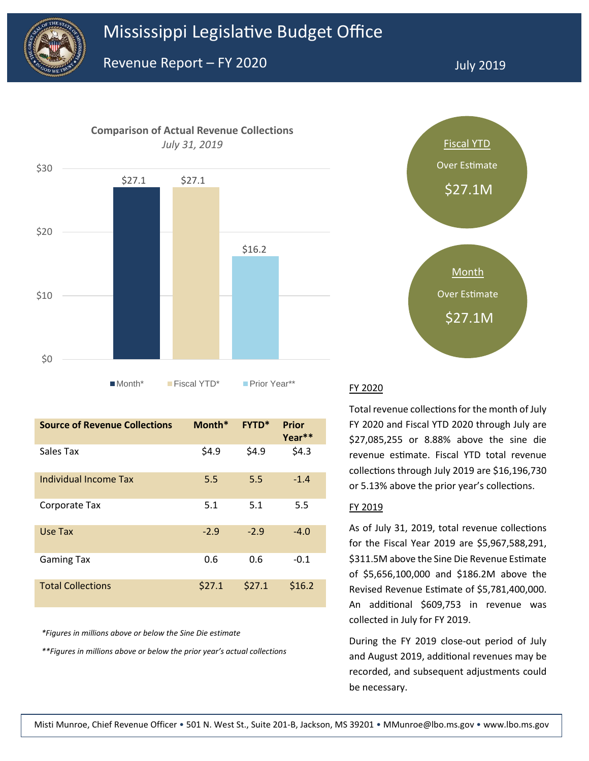



| <b>Source of Revenue Collections</b> | Month* | $FYTD*$ | <b>Prior</b><br>Year** |
|--------------------------------------|--------|---------|------------------------|
| Sales Tax                            | \$4.9  | \$4.9   | \$4.3                  |
| Individual Income Tax                | 5.5    | 5.5     | $-1.4$                 |
| Corporate Tax                        | 5.1    | 5.1     | 5.5                    |
| Use Tax                              | $-2.9$ | $-2.9$  | $-4.0$                 |
| <b>Gaming Tax</b>                    | 0.6    | 0.6     | $-0.1$                 |
| <b>Total Collections</b>             | \$27.1 | \$27.1  | \$16.2                 |

*\*Figures in millions above or below the Sine Die estimate*

*\*\*Figures in millions above or below the prior year's actual collections*



Total revenue collections for the month of July FY 2020 and Fiscal YTD 2020 through July are \$27,085,255 or 8.88% above the sine die revenue estimate. Fiscal YTD total revenue collections through July 2019 are \$16,196,730 or 5.13% above the prior year's collections.

### FY 2019

As of July 31, 2019, total revenue collections for the Fiscal Year 2019 are \$5,967,588,291, \$311.5M above the Sine Die Revenue Estimate of \$5,656,100,000 and \$186.2M above the Revised Revenue Estimate of \$5,781,400,000. An additional \$609,753 in revenue was collected in July for FY 2019.

During the FY 2019 close-out period of July and August 2019, additional revenues may be recorded, and subsequent adjustments could be necessary.

estimate upward by \$125.3M. FY 2019 year-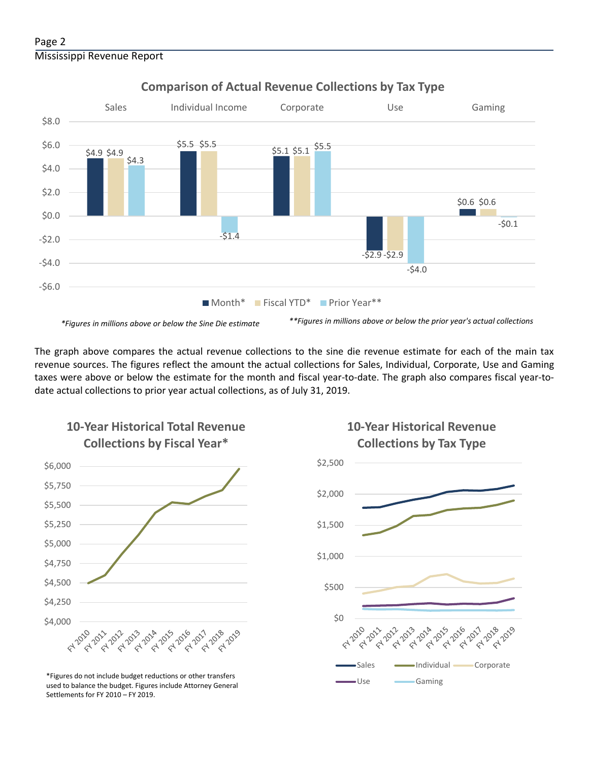### Page 2 Mississippi Revenue Report



### **Comparison of Actual Revenue Collections by Tax Type**

The graph above compares the actual revenue collections to the sine die revenue estimate for each of the main tax revenue sources. The figures reflect the amount the actual collections for Sales, Individual, Corporate, Use and Gaming taxes were above or below the estimate for the month and fiscal year-to-date. The graph also compares fiscal year-todate actual collections to prior year actual collections, as of July 31, 2019.



**10-Year Historical Total Revenue** 

Use Gaming \*Figures do not include budget reductions or other transfers used to balance the budget. Figures include Attorney General Settlements for FY 2010 – FY 2019.



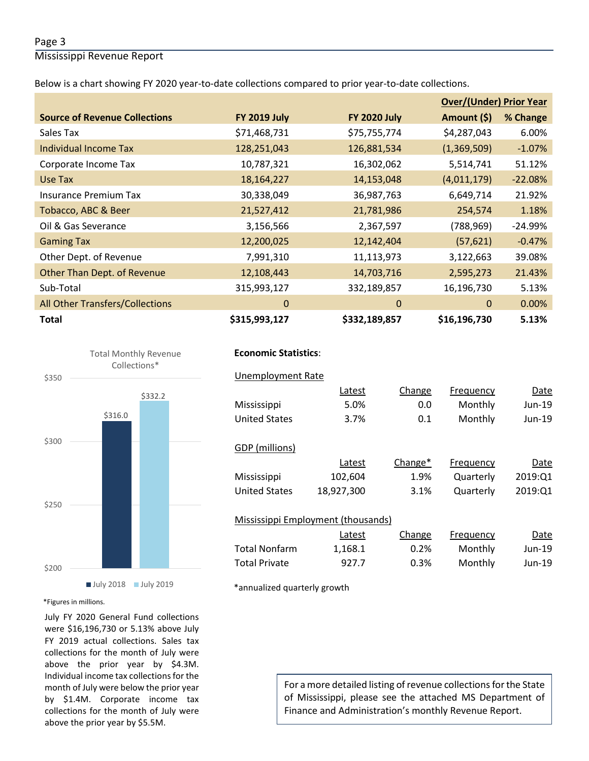### Page 3

Mississippi Revenue Report

Below is a chart showing FY 2020 year-to-date collections compared to prior year-to-date collections.

|                                        |                     |                     | <b>Over/(Under) Prior Year</b> |           |
|----------------------------------------|---------------------|---------------------|--------------------------------|-----------|
| <b>Source of Revenue Collections</b>   | <b>FY 2019 July</b> | <b>FY 2020 July</b> | Amount (\$)                    | % Change  |
| Sales Tax                              | \$71,468,731        | \$75,755,774        | \$4,287,043                    | 6.00%     |
| Individual Income Tax                  | 128,251,043         | 126,881,534         | (1,369,509)                    | $-1.07%$  |
| Corporate Income Tax                   | 10,787,321          | 16,302,062          | 5,514,741                      | 51.12%    |
| Use Tax                                | 18,164,227          | 14,153,048          | (4,011,179)                    | $-22.08%$ |
| Insurance Premium Tax                  | 30,338,049          | 36,987,763          | 6,649,714                      | 21.92%    |
| Tobacco, ABC & Beer                    | 21,527,412          | 21,781,986          | 254,574                        | 1.18%     |
| Oil & Gas Severance                    | 3,156,566           | 2,367,597           | (788, 969)                     | $-24.99%$ |
| <b>Gaming Tax</b>                      | 12,200,025          | 12,142,404          | (57, 621)                      | $-0.47%$  |
| Other Dept. of Revenue                 | 7,991,310           | 11,113,973          | 3,122,663                      | 39.08%    |
| Other Than Dept. of Revenue            | 12,108,443          | 14,703,716          | 2,595,273                      | 21.43%    |
| Sub-Total                              | 315,993,127         | 332,189,857         | 16,196,730                     | 5.13%     |
| <b>All Other Transfers/Collections</b> | $\Omega$            | $\Omega$            | 0                              | $0.00\%$  |
| <b>Total</b>                           | \$315,993,127       | \$332,189,857       | \$16,196,730                   | 5.13%     |



## Unemployment Rate Unemployment Rate

 **Economic Statistics**:  **Economic Statistics**:

|                                    | Latest     | Change              | Frequency | Date     |
|------------------------------------|------------|---------------------|-----------|----------|
| Mississippi                        | 5.0%       | 0.0                 | Monthly   | $Jun-19$ |
| <b>United States</b>               | 3.7%       | 0.1                 | Monthly   | $Jun-19$ |
|                                    |            |                     |           |          |
| GDP (millions)                     |            |                     |           |          |
|                                    | Latest     | Change <sup>*</sup> | Frequency | Date     |
| Mississippi                        | 102,604    | 1.9%                | Quarterly | 2019:01  |
| <b>United States</b>               | 18,927,300 | 3.1%                | Quarterly | 2019:Q1  |
|                                    |            |                     |           |          |
| Mississippi Employment (thousands) |            |                     |           |          |
|                                    | Latest     | Change              | Frequency | Date     |
| <b>Total Nonfarm</b>               | 1,168.1    | 0.2%                | Monthly   | Jun-19   |
| <b>Total Private</b>               | 927.7      | 0.3%                | Monthly   | $Jun-19$ |

\*annualized quarterly growth

\*Figures in millions.

July FY 2020 General Fund collections were \$16,196,730 or 5.13% above July FY 2019 actual collections. Sales tax collections for the month of July were above the prior year by \$4.3M. Individual income tax collections for the month of July were below the prior year by \$1.4M. Corporate income tax collections for the month of July were above the prior year by \$5.5M.

For a more detailed listing of revenue collections for the State of Mississippi, please see the attached MS Department of Finance and Administration's monthly Revenue Report.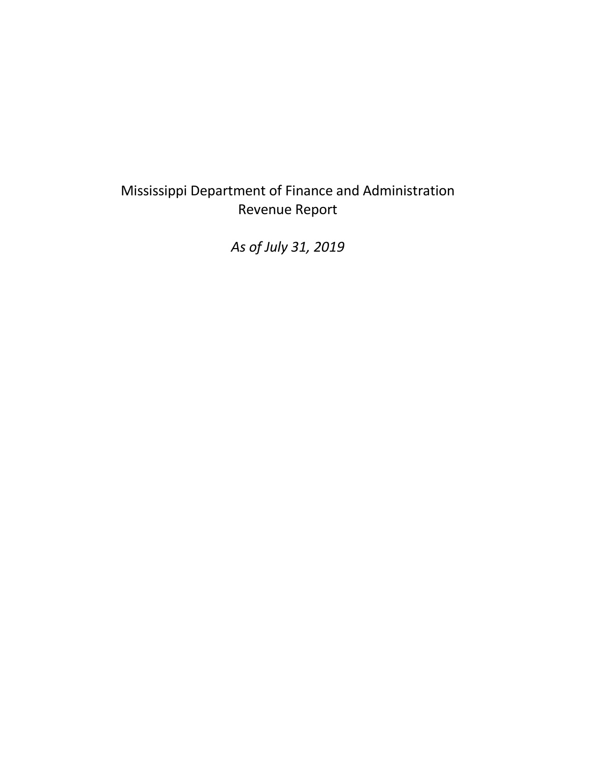## Mississippi Department of Finance and Administration Revenue Report

*As of July 31, 2019*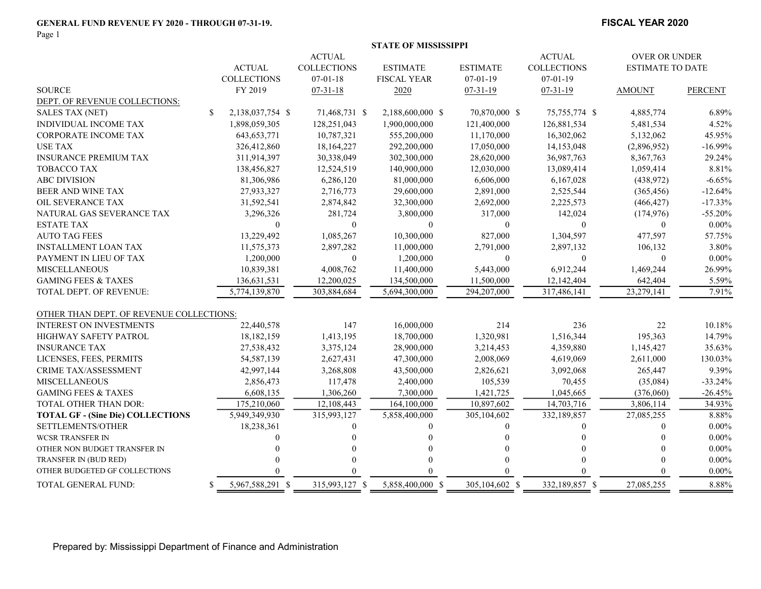### GENERAL FUND REVENUE FY 2020 - THROUGH 07-31-19. **FISCAL YEAR 2020**

Page 1

|                                          | <b>STATE OF MISSISSIPPI</b> |                                |                    |                  |                 |                    |                         |                |  |
|------------------------------------------|-----------------------------|--------------------------------|--------------------|------------------|-----------------|--------------------|-------------------------|----------------|--|
|                                          |                             | <b>ACTUAL</b><br><b>ACTUAL</b> |                    |                  |                 |                    |                         | OVER OR UNDER  |  |
|                                          |                             | <b>ACTUAL</b>                  | <b>COLLECTIONS</b> | <b>ESTIMATE</b>  | <b>ESTIMATE</b> | <b>COLLECTIONS</b> | <b>ESTIMATE TO DATE</b> |                |  |
|                                          |                             | <b>COLLECTIONS</b>             | $07 - 01 - 18$     | FISCAL YEAR      | $07 - 01 - 19$  | $07 - 01 - 19$     |                         |                |  |
| <b>SOURCE</b>                            |                             | FY 2019                        | $07 - 31 - 18$     | 2020             | $07 - 31 - 19$  | $07 - 31 - 19$     | <b>AMOUNT</b>           | <b>PERCENT</b> |  |
| DEPT. OF REVENUE COLLECTIONS:            |                             |                                |                    |                  |                 |                    |                         |                |  |
| <b>SALES TAX (NET)</b>                   | \$                          | 2,138,037,754 \$               | 71,468,731 \$      | 2,188,600,000 \$ | 70,870,000 \$   | 75,755,774 \$      | 4,885,774               | 6.89%          |  |
| <b>INDIVIDUAL INCOME TAX</b>             |                             | 1,898,059,305                  | 128,251,043        | 1,900,000,000    | 121,400,000     | 126,881,534        | 5,481,534               | 4.52%          |  |
| CORPORATE INCOME TAX                     |                             | 643, 653, 771                  | 10,787,321         | 555,200,000      | 11,170,000      | 16,302,062         | 5,132,062               | 45.95%         |  |
| <b>USE TAX</b>                           |                             | 326,412,860                    | 18,164,227         | 292,200,000      | 17,050,000      | 14,153,048         | (2,896,952)             | $-16.99%$      |  |
| <b>INSURANCE PREMIUM TAX</b>             |                             | 311,914,397                    | 30,338,049         | 302,300,000      | 28,620,000      | 36,987,763         | 8,367,763               | 29.24%         |  |
| TOBACCO TAX                              |                             | 138,456,827                    | 12,524,519         | 140,900,000      | 12,030,000      | 13,089,414         | 1,059,414               | 8.81%          |  |
| <b>ABC DIVISION</b>                      |                             | 81,306,986                     | 6,286,120          | 81,000,000       | 6,606,000       | 6,167,028          | (438,972)               | $-6.65%$       |  |
| BEER AND WINE TAX                        |                             | 27,933,327                     | 2,716,773          | 29,600,000       | 2,891,000       | 2,525,544          | (365, 456)              | $-12.64%$      |  |
| OIL SEVERANCE TAX                        |                             | 31,592,541                     | 2,874,842          | 32,300,000       | 2,692,000       | 2,225,573          | (466, 427)              | $-17.33%$      |  |
| NATURAL GAS SEVERANCE TAX                |                             | 3,296,326                      | 281,724            | 3,800,000        | 317,000         | 142,024            | (174, 976)              | $-55.20%$      |  |
| <b>ESTATE TAX</b>                        |                             | $\theta$                       | $\theta$           | $\theta$         | $\mathbf{0}$    | $\Omega$           | $\theta$                | $0.00\%$       |  |
| <b>AUTO TAG FEES</b>                     |                             | 13,229,492                     | 1,085,267          | 10,300,000       | 827,000         | 1,304,597          | 477,597                 | 57.75%         |  |
| <b>INSTALLMENT LOAN TAX</b>              |                             | 11,575,373                     | 2,897,282          | 11,000,000       | 2,791,000       | 2,897,132          | 106,132                 | 3.80%          |  |
| PAYMENT IN LIEU OF TAX                   |                             | 1,200,000                      | $\boldsymbol{0}$   | 1,200,000        | $\Omega$        | $\theta$           | $\theta$                | $0.00\%$       |  |
| <b>MISCELLANEOUS</b>                     |                             | 10,839,381                     | 4,008,762          | 11,400,000       | 5,443,000       | 6,912,244          | 1,469,244               | 26.99%         |  |
| <b>GAMING FEES &amp; TAXES</b>           |                             | 136,631,531                    | 12,200,025         | 134,500,000      | 11,500,000      | 12,142,404         | 642,404                 | 5.59%          |  |
| TOTAL DEPT. OF REVENUE:                  |                             | 5,774,139,870                  | 303,884,684        | 5,694,300,000    | 294,207,000     | 317,486,141        | 23,279,141              | 7.91%          |  |
| OTHER THAN DEPT. OF REVENUE COLLECTIONS: |                             |                                |                    |                  |                 |                    |                         |                |  |
| <b>INTEREST ON INVESTMENTS</b>           |                             | 22,440,578                     | 147                | 16,000,000       | 214             | 236                | 22                      | 10.18%         |  |
| <b>HIGHWAY SAFETY PATROL</b>             |                             | 18,182,159                     | 1,413,195          | 18,700,000       | 1,320,981       | 1,516,344          | 195,363                 | 14.79%         |  |
| <b>INSURANCE TAX</b>                     |                             | 27,538,432                     | 3,375,124          | 28,900,000       | 3,214,453       | 4,359,880          | 1,145,427               | 35.63%         |  |
| LICENSES, FEES, PERMITS                  |                             | 54, 587, 139                   | 2,627,431          | 47,300,000       | 2,008,069       | 4,619,069          | 2,611,000               | 130.03%        |  |
| CRIME TAX/ASSESSMENT                     |                             | 42,997,144                     | 3,268,808          | 43,500,000       | 2,826,621       | 3,092,068          | 265,447                 | 9.39%          |  |
| <b>MISCELLANEOUS</b>                     |                             | 2,856,473                      | 117,478            | 2,400,000        | 105,539         | 70,455             | (35,084)                | $-33.24%$      |  |
| <b>GAMING FEES &amp; TAXES</b>           |                             | 6,608,135                      | 1,306,260          | 7,300,000        | 1,421,725       | 1,045,665          | (376,060)               | $-26.45%$      |  |
| TOTAL OTHER THAN DOR:                    |                             | 175,210,060                    | 12,108,443         | 164,100,000      | 10,897,602      | 14,703,716         | 3,806,114               | 34.93%         |  |
| <b>TOTAL GF - (Sine Die) COLLECTIONS</b> |                             | 5,949,349,930                  | 315,993,127        | 5,858,400,000    | 305,104,602     | 332,189,857        | 27,085,255              | 8.88%          |  |
| SETTLEMENTS/OTHER                        |                             | 18,238,361                     | $\theta$           | $\theta$         | $\theta$        | $\theta$           | $\mathbf{0}$            | $0.00\%$       |  |
| <b>WCSR TRANSFER IN</b>                  |                             |                                |                    |                  |                 |                    | 0                       | $0.00\%$       |  |
| OTHER NON BUDGET TRANSFER IN             |                             |                                |                    |                  |                 |                    | $\Omega$                | $0.00\%$       |  |
| TRANSFER IN (BUD RED)                    |                             |                                |                    |                  |                 |                    | $\Omega$                | $0.00\%$       |  |
| OTHER BUDGETED GF COLLECTIONS            |                             |                                |                    |                  |                 |                    | $\Omega$                | $0.00\%$       |  |
| TOTAL GENERAL FUND:                      | \$.                         | 5,967,588,291 \$               | 315,993,127 \$     | 5,858,400,000 \$ | 305,104,602 \$  | 332,189,857 \$     | 27,085,255              | 8.88%          |  |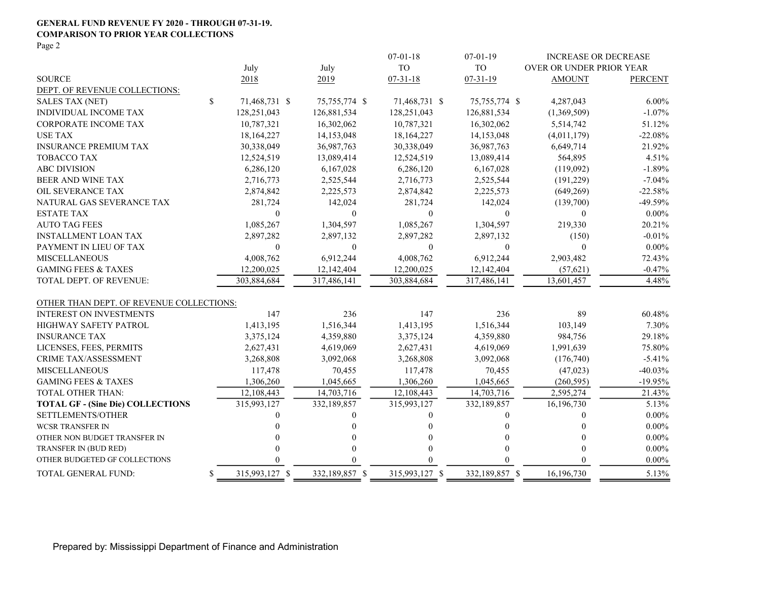### GENERAL FUND REVENUE FY 2020 - THROUGH 07-31-19. COMPARISON TO PRIOR YEAR COLLECTIONS

### Page 2

|                                          |              |                |                | $07 - 01 - 18$ | $07 - 01 - 19$ | <b>INCREASE OR DECREASE</b> |                |
|------------------------------------------|--------------|----------------|----------------|----------------|----------------|-----------------------------|----------------|
|                                          |              | July           | July           | <b>TO</b>      | <b>TO</b>      | OVER OR UNDER PRIOR YEAR    |                |
| <b>SOURCE</b>                            |              | 2018           | 2019           | $07 - 31 - 18$ | $07 - 31 - 19$ | <b>AMOUNT</b>               | <b>PERCENT</b> |
| DEPT. OF REVENUE COLLECTIONS:            |              |                |                |                |                |                             |                |
| <b>SALES TAX (NET)</b>                   | $\mathbb{S}$ | 71,468,731 \$  | 75,755,774 \$  | 71,468,731 \$  | 75,755,774 \$  | 4,287,043                   | $6.00\%$       |
| INDIVIDUAL INCOME TAX                    |              | 128,251,043    | 126,881,534    | 128,251,043    | 126,881,534    | (1,369,509)                 | $-1.07\%$      |
| <b>CORPORATE INCOME TAX</b>              |              | 10,787,321     | 16,302,062     | 10,787,321     | 16,302,062     | 5,514,742                   | 51.12%         |
| <b>USE TAX</b>                           |              | 18,164,227     | 14,153,048     | 18,164,227     | 14,153,048     | (4,011,179)                 | $-22.08%$      |
| <b>INSURANCE PREMIUM TAX</b>             |              | 30,338,049     | 36,987,763     | 30,338,049     | 36,987,763     | 6,649,714                   | 21.92%         |
| <b>TOBACCO TAX</b>                       |              | 12,524,519     | 13,089,414     | 12,524,519     | 13,089,414     | 564,895                     | 4.51%          |
| <b>ABC DIVISION</b>                      |              | 6,286,120      | 6,167,028      | 6,286,120      | 6,167,028      | (119,092)                   | $-1.89%$       |
| BEER AND WINE TAX                        |              | 2,716,773      | 2,525,544      | 2,716,773      | 2,525,544      | (191, 229)                  | $-7.04%$       |
| OIL SEVERANCE TAX                        |              | 2,874,842      | 2,225,573      | 2,874,842      | 2,225,573      | (649, 269)                  | $-22.58%$      |
| NATURAL GAS SEVERANCE TAX                |              | 281,724        | 142,024        | 281,724        | 142,024        | (139,700)                   | $-49.59%$      |
| <b>ESTATE TAX</b>                        |              | $\theta$       | $\theta$       | $\theta$       | $\mathbf{0}$   | $\mathbf{0}$                | $0.00\%$       |
| <b>AUTO TAG FEES</b>                     |              | 1,085,267      | 1,304,597      | 1,085,267      | 1,304,597      | 219,330                     | 20.21%         |
| <b>INSTALLMENT LOAN TAX</b>              |              | 2,897,282      | 2,897,132      | 2,897,282      | 2,897,132      | (150)                       | $-0.01%$       |
| PAYMENT IN LIEU OF TAX                   |              | $\mathbf{0}$   | $\theta$       | $\mathbf{0}$   | $\theta$       | $\theta$                    | $0.00\%$       |
| <b>MISCELLANEOUS</b>                     |              | 4,008,762      | 6,912,244      | 4,008,762      | 6,912,244      | 2,903,482                   | 72.43%         |
| <b>GAMING FEES &amp; TAXES</b>           |              | 12,200,025     | 12,142,404     | 12,200,025     | 12,142,404     | (57, 621)                   | $-0.47%$       |
| TOTAL DEPT. OF REVENUE:                  |              | 303,884,684    | 317,486,141    | 303,884,684    | 317,486,141    | 13,601,457                  | 4.48%          |
| OTHER THAN DEPT. OF REVENUE COLLECTIONS: |              |                |                |                |                |                             |                |
| <b>INTEREST ON INVESTMENTS</b>           |              | 147            | 236            | 147            | 236            | 89                          | 60.48%         |
| HIGHWAY SAFETY PATROL                    |              | 1,413,195      | 1,516,344      | 1,413,195      | 1,516,344      | 103,149                     | 7.30%          |
| <b>INSURANCE TAX</b>                     |              | 3,375,124      | 4,359,880      | 3,375,124      | 4,359,880      | 984,756                     | 29.18%         |
| LICENSES, FEES, PERMITS                  |              | 2,627,431      | 4,619,069      | 2,627,431      | 4,619,069      | 1,991,639                   | 75.80%         |
| CRIME TAX/ASSESSMENT                     |              | 3,268,808      | 3,092,068      | 3,268,808      | 3,092,068      | (176,740)                   | $-5.41%$       |
| <b>MISCELLANEOUS</b>                     |              | 117,478        | 70,455         | 117,478        | 70,455         | (47,023)                    | $-40.03%$      |
| <b>GAMING FEES &amp; TAXES</b>           |              | 1,306,260      | 1,045,665      | 1,306,260      | 1,045,665      | (260, 595)                  | $-19.95%$      |
| TOTAL OTHER THAN:                        |              | 12,108,443     | 14,703,716     | 12,108,443     | 14,703,716     | 2,595,274                   | 21.43%         |
| <b>TOTAL GF - (Sine Die) COLLECTIONS</b> |              | 315,993,127    | 332,189,857    | 315,993,127    | 332,189,857    | 16,196,730                  | 5.13%          |
| SETTLEMENTS/OTHER                        |              | 0              | $\theta$       |                | $\theta$       | 0                           | $0.00\%$       |
| <b>WCSR TRANSFER IN</b>                  |              |                |                |                |                | $\Omega$                    | $0.00\%$       |
| OTHER NON BUDGET TRANSFER IN             |              |                |                |                |                | $\Omega$                    | $0.00\%$       |
| TRANSFER IN (BUD RED)                    |              |                |                |                |                | $\Omega$                    | $0.00\%$       |
| OTHER BUDGETED GF COLLECTIONS            |              |                | U              |                | $\Omega$       | $\Omega$                    | $0.00\%$       |
| TOTAL GENERAL FUND:                      | \$           | 315,993,127 \$ | 332,189,857 \$ | 315,993,127 \$ | 332,189,857 \$ | 16,196,730                  | 5.13%          |